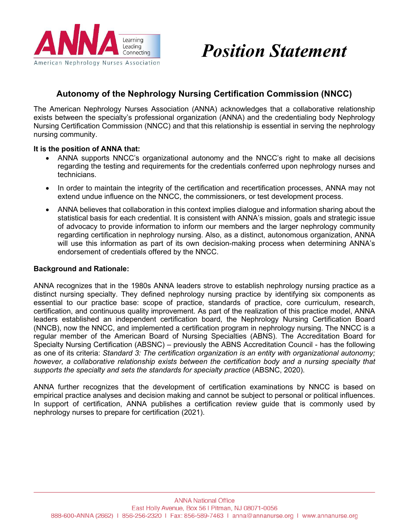

# *Position Statement*

## **Autonomy of the Nephrology Nursing Certification Commission (NNCC)**

The American Nephrology Nurses Association (ANNA) acknowledges that a collaborative relationship exists between the specialty's professional organization (ANNA) and the credentialing body Nephrology Nursing Certification Commission (NNCC) and that this relationship is essential in serving the nephrology nursing community.

#### **It is the position of ANNA that:**

- ANNA supports NNCC's organizational autonomy and the NNCC's right to make all decisions regarding the testing and requirements for the credentials conferred upon nephrology nurses and technicians.
- In order to maintain the integrity of the certification and recertification processes, ANNA may not extend undue influence on the NNCC, the commissioners, or test development process.
- ANNA believes that collaboration in this context implies dialogue and information sharing about the statistical basis for each credential. It is consistent with ANNA's mission, goals and strategic issue of advocacy to provide information to inform our members and the larger nephrology community regarding certification in nephrology nursing. Also, as a distinct, autonomous organization, ANNA will use this information as part of its own decision-making process when determining ANNA's endorsement of credentials offered by the NNCC.

#### **Background and Rationale:**

ANNA recognizes that in the 1980s ANNA leaders strove to establish nephrology nursing practice as a distinct nursing specialty. They defined nephrology nursing practice by identifying six components as essential to our practice base: scope of practice, standards of practice, core curriculum, research, certification, and continuous quality improvement. As part of the realization of this practice model, ANNA leaders established an independent certification board, the Nephrology Nursing Certification Board (NNCB), now the NNCC, and implemented a certification program in nephrology nursing. The NNCC is a regular member of the American Board of Nursing Specialties (ABNS). The Accreditation Board for Specialty Nursing Certification (ABSNC) – previously the ABNS Accreditation Council - has the following as one of its criteria: *Standard 3: The certification organization is an entity with organizational autonomy; however, a collaborative relationship exists between the certification body and a nursing specialty that supports the specialty and sets the standards for specialty practice* (ABSNC, 2020).

ANNA further recognizes that the development of certification examinations by NNCC is based on empirical practice analyses and decision making and cannot be subject to personal or political influences. In support of certification, ANNA publishes a certification review guide that is commonly used by nephrology nurses to prepare for certification (2021).